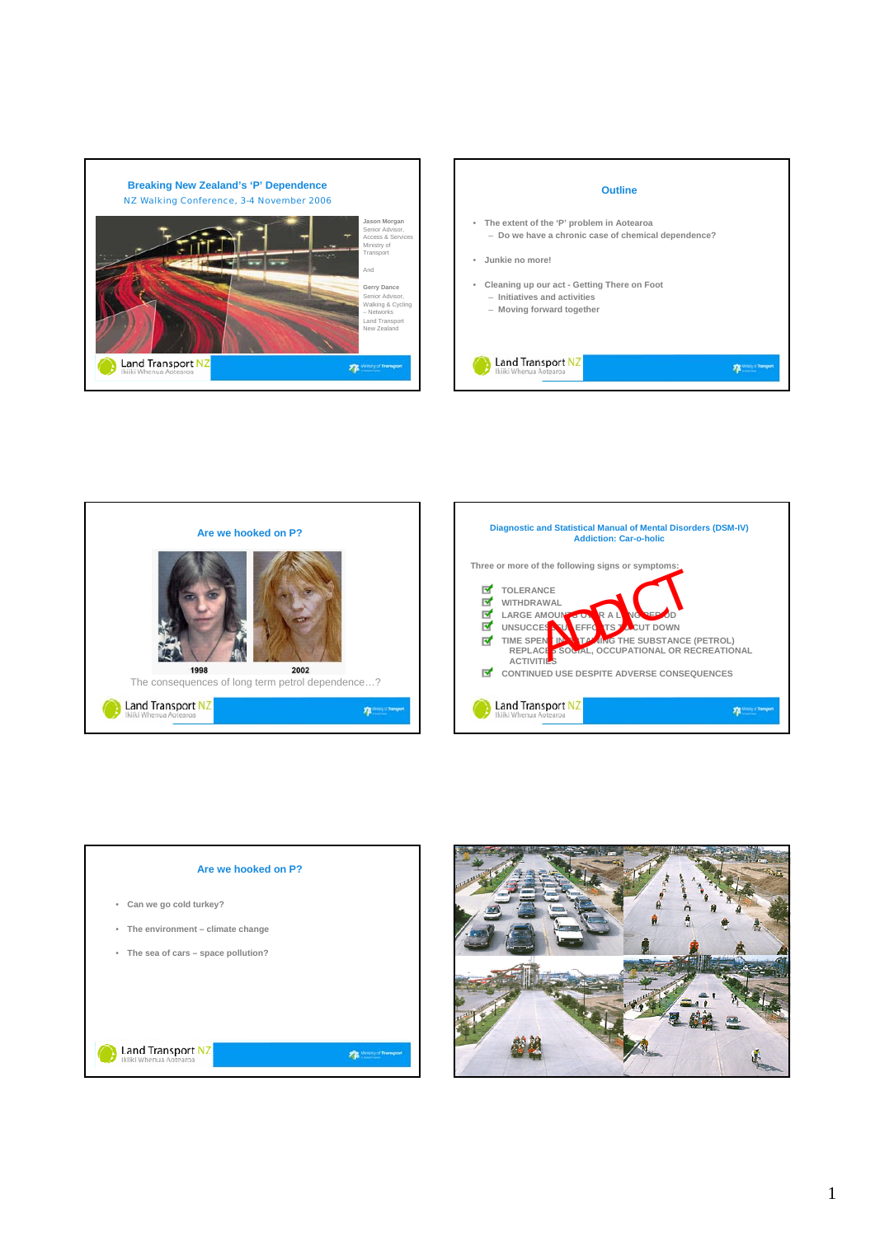









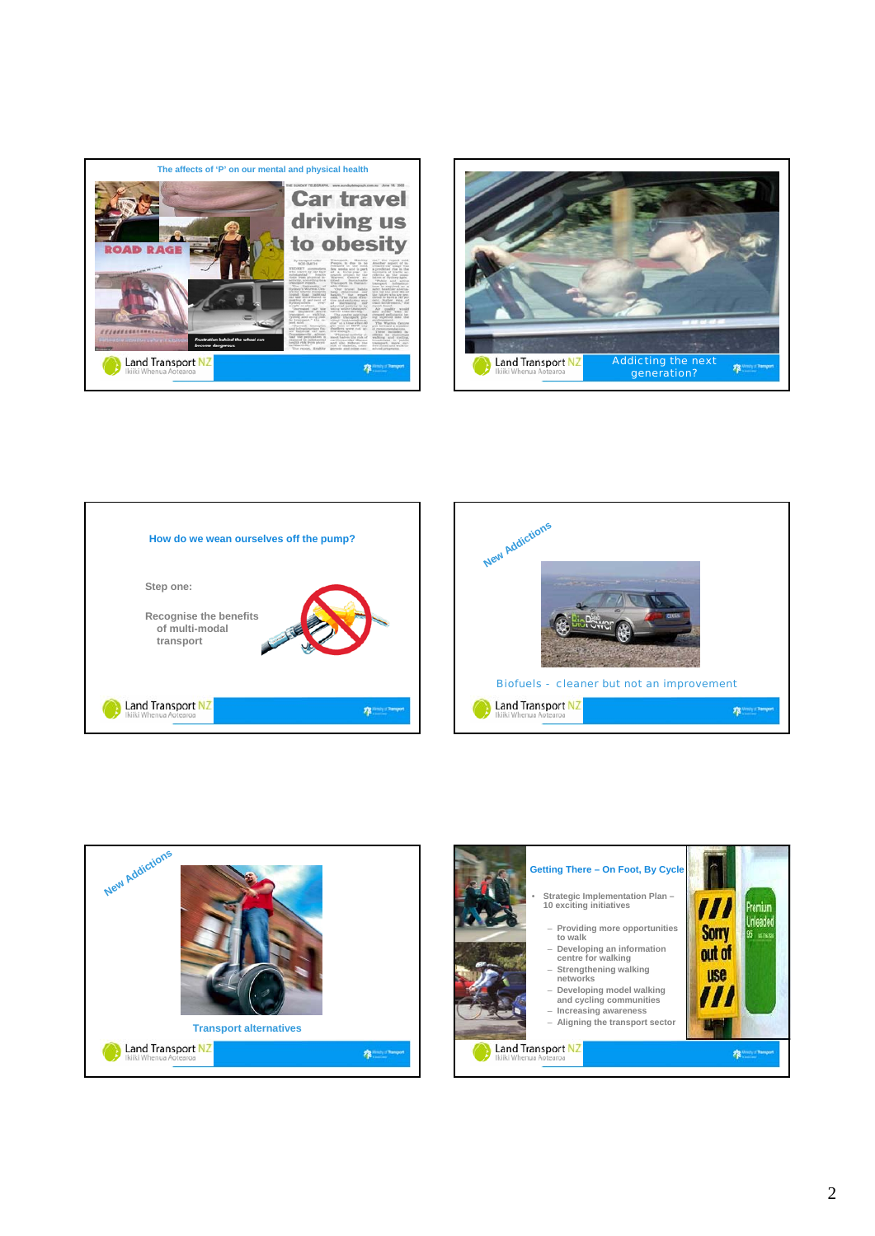









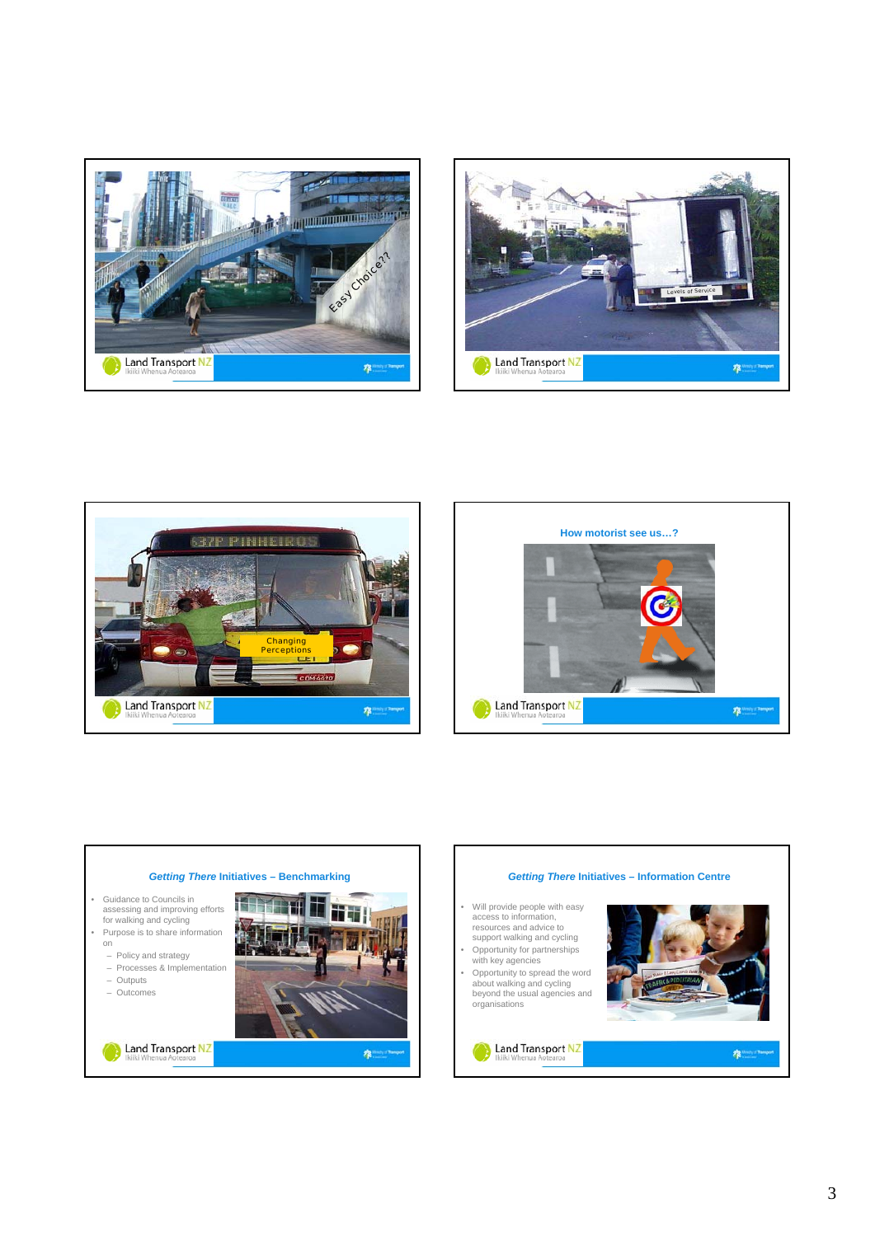